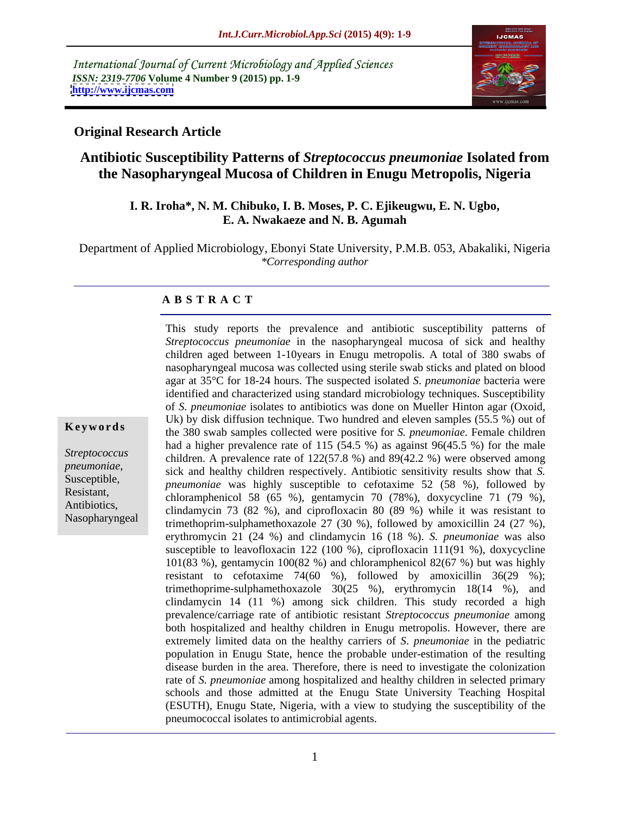International Journal of Current Microbiology and Applied Sciences *ISSN: 2319-7706* **Volume 4 Number 9 (2015) pp. 1-9 <http://www.ijcmas.com>**



# **Original Research Article**

Nasopharyngeal

# **Antibiotic Susceptibility Patterns of** *Streptococcus pneumoniae* **Isolated from the Nasopharyngeal Mucosa of Children in Enugu Metropolis, Nigeria**

### **I. R. Iroha\*, N. M. Chibuko, I. B. Moses, P. C. Ejikeugwu, E. N. Ugbo, E. A. Nwakaeze and N. B. Agumah**

Department of Applied Microbiology, Ebonyi State University, P.M.B. 053, Abakaliki, Nigeria *\*Corresponding author*

### **A B S T R A C T**

This study reports the prevalence and antibiotic susceptibility patterns of *Streptococcus pneumoniae* in the nasopharyngeal mucosa of sick and healthy children aged between 1-10years in Enugu metropolis. A total of 380 swabs of nasopharyngeal mucosa was collected using sterile swab sticks and plated on blood agar at 35°C for 18-24 hours. The suspected isolated *S*. *pneumoniae* bacteria were identified and characterized using standard microbiology techniques. Susceptibility of *S. pneumoniae* isolates to antibiotics was done on Mueller Hinton agar (Oxoid, Uk) by disk diffusion technique. Two hundred and eleven samples (55.5 %) out of **Keywords** the 380 swab samples collected were positive for *S. pneumoniae*. Female children had a higher prevalence rate of 115 (54.5 %) as against 96(45.5 %) for the male Streptococcus children. A prevalence rate of 122(57.8 %) and 89(42.2 %) were observed among *sick and healthy children respectively. Antibiotic sensitivity results show that <i>S.* <br> *Susceptible*, *preumoniae*, was highly susceptible to certaining 52. (58. %) followed by *pneumoniae* was highly susceptible to cefotaxime 52 (58 %), followed by Resistant, chloramphenicol 58 (65 %), gentamycin 70 (78%), doxycycline 71 (79 %), Antibiotics,<br>clindamycin 73 (82 %), and ciprofloxacin 80 (89 %) while it was resistant to trimethoprim-sulphamethoxazole 27 (30 %), followed by amoxicillin 24 (27 %), erythromycin 21 (24 %) and clindamycin 16 (18 %). *S. pneumoniae* was also susceptible to leavofloxacin 122 (100 %), ciprofloxacin 111(91 %), doxycycline 101(83 %), gentamycin 100(82 %) and chloramphenicol 82(67 %) but was highly resistant to cefotaxime  $74(60 \%)$ , followed by amoxicillin  $36(29 \%)$ ; trimethoprime-sulphamethoxazole 30(25 %), erythromycin 18(14 %), and clindamycin 14 (11 %) among sick children. This study recorded a high prevalence/carriage rate of antibiotic resistant *Streptococcus pneumoniae* among both hospitalized and healthy children in Enugu metropolis. However, there are extremely limited data on the healthy carriers of *S*. *pneumoniae* in the pediatric population in Enugu State, hence the probable under-estimation of the resulting disease burden in the area. Therefore, there is need to investigate the colonization rate of *S. pneumoniae* among hospitalized and healthy children in selected primary schools and those admitted at the Enugu State University Teaching Hospital (ESUTH), Enugu State, Nigeria, with a view to studying the susceptibility of the pneumococcal isolates to antimicrobial agents.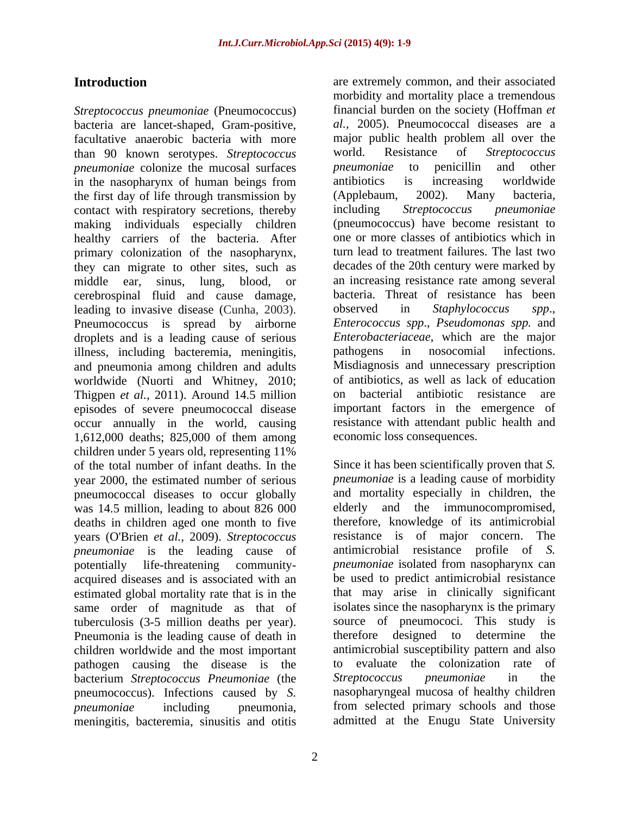*Streptococcus pneumoniae* (Pneumococcus) bacteria are lancet-shaped, Gram-positive, facultative anaerobic bacteria with more major public health problem all over the than 90 known serotypes. Streptococcus world. Resistance of Streptococcus than 90 known serotypes. *Streptococcus pneumoniae* colonize the mucosal surfaces *pneumoniae* to penicillin and other in the nasophary of human beings from antibiotics is increasing worldwide in the nasopharynx of human beings from the first day of life through transmission by (Applebaum, 2002). Many bacteria, contact with respiratory secretions, thereby including Streptococcus pneumoniae making individuals especially children healthy carriers of the bacteria. After primary colonization of the nasopharynx, they can migrate to other sites, such as decades of the 20th century were marked by middle ear, sinus, lung, blood, or an increasing resistance rate among several cerebrospinal fluid and cause damage, leading to invasive disease (Cunha, 2003). observed in Staphylococcus spp., Pneumococcus is spread by airborne droplets and is a leading cause of serious illness, including bacteremia, meningitis, pathogens in nosocomial infections. and pneumonia among children and adults worldwide (Nuorti and Whitney, 2010; of antibiotics, as well as lack of education of antibiotics, as well as lack of education of the Thiopen et al. 2011) Around 14.5 million on bacterial antibiotic resistance Thigpen *et al.*, 2011). Around 14.5 million on bacterial antibiotic resistance are episodes of severe pneumococcal disease occur annually in the world, causing 1,612,000 deaths; 825,000 of them among children under 5 years old, representing 11% of the total number of infant deaths. In the year 2000, the estimated number of serious pneumococcal diseases to occur globally was 14.5 million, leading to about 826 000 deaths in children aged one month to five years (O'Brien *et al.,* 2009).*Streptococcus pneumoniae* is the leading cause of potentially life-threatening community- *pneumoniae* isolated from nasopharynx can acquired diseases and is associated with an estimated global mortality rate that is in the same order of magnitude as that of tuberculosis (3-5 million deaths per year). source of pneumococi.<br>Pneumonia is the leading cause of death in therefore designed to Pneumonia is the leading cause of death in therefore designed to determine the children worldwide and the most important pathogen causing the disease is the bacterium *Streptococcus Pneumoniae* (the pneumococcus). Infections caused by *S. pneumoniae* including pneumonia, from selected primary schools and those meningitis, bacteremia, sinusitis and otitis

**Introduction** are extremely common, and their associated morbidity and mortality place a tremendous financial burden on the society (Hoffman *et al.,* 2005). Pneumococcal diseases are a major public health problem all over the world. Resistance of *Streptococcus pneumoniae* to penicillin and other antibiotics is increasing worldwide (Applebaum, 2002). Many bacteria, including *Streptococcus pneumoniae* (pneumococcus) have become resistant to one or more classes of antibiotics which in turn lead to treatment failures. The last two bacteria. Threat of resistance has been observed in *Staphylococcus spp*., *Enterococcus spp*., *Pseudomonas spp.* and *Enterobacteriaceae*, which are the major pathogens in nosocomial infections. Misdiagnosis and unnecessary prescription of antibiotics, as well as lack of education on bacterial antibiotic resistance are important factors in the emergence of resistance with attendant public health and economic loss consequences.

> Since it has been scientifically proven that *S. pneumoniae* is a leading cause of morbidity and mortality especially in children, the elderly and the immunocompromised, therefore, knowledge of its antimicrobial resistance is of major concern. antimicrobial resistance profile of *S.*  be used to predict antimicrobial resistance that may arise in clinically significant isolates since the nasopharynx is the primary source of pneumococi. This study is therefore designed to determine the antimicrobial susceptibility pattern and also to evaluate the colonization rate of *Streptococcus pneumoniae* in the nasopharyngeal mucosa of healthy children admitted at the Enugu State University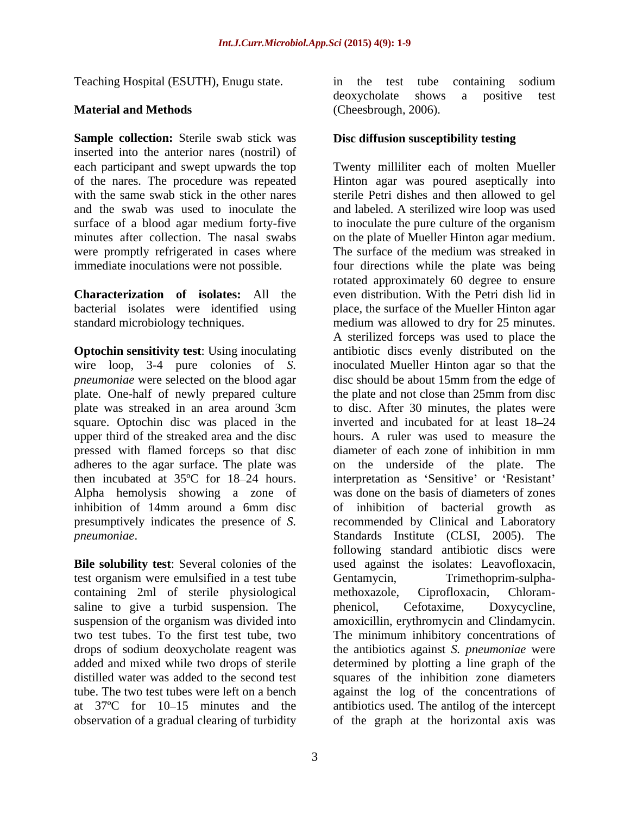**Sample collection:** Sterile swab stick was inserted into the anterior nares (nostril) of

wire loop, 3-4 pure colonies of *S.*  plate. One-half of newly prepared culture square. Optochin disc was placed in the pressed with flamed forceps so that disc inhibition of 14mm around a 6mm disc

**Bile solubility test**: Several colonies of the test organism were emulsified in a test tube<br>
Centamycin, Trimethoprim-sulpha-<br>
containing 2ml of sterile physiological methoxazole. Ciprofloxacin. Chloramcontaining 2ml of sterile physiological saline to give a turbid suspension. The phenicol, Cefotaxime, Doxycycline, observation of a gradual clearing of turbidity

Teaching Hospital (ESUTH), Enugu state. **Material and Methods** in the test tube containing sodium deoxycholate shows a positive test (Cheesbrough, 2006).

# **Disc diffusion susceptibility testing**

each participant and swept upwards the top Twenty milliliter each of molten Mueller of the nares. The procedure was repeated Hinton agar was poured aseptically into with the same swab stick in the other nares sterile Petri dishes and then allowed to gel and the swab was used to inoculate the and labeled. A sterilized wire loop was used surface of a blood agar medium forty-five to inoculate the pure culture of the organism minutes after collection. The nasal swabs on the plate of Mueller Hinton agar medium. were promptly refrigerated in cases where The surface of the medium was streaked in immediate inoculations were not possible. four directions while the plate was being **Characterization** of **isolates:** All the even distribution. With the Petri dish lid in bacterial isolates were identified using place, the surface of the Mueller Hinton agar standard microbiology techniques. medium was allowed to dry for 25 minutes. **Optochin sensitivity test:** Using inoculating antibiotic discs evenly distributed on the *pneumoniae* were selected on the blood agar disc should be about 15mm from the edge of plate was streaked in an area around 3cm to disc. After 30 minutes, the plates were upper third of the streaked area and the disc hours. A ruler was used to measure the adheres to the agar surface. The plate was on the underside of the plate. The then incubated at 35°C for 18–24 hours. interpretation as 'Sensitive' or 'Resistant' Alpha hemolysis showing a zone of was done on the basis of diameters of zones presumptively indicates the presence of *S.*  recommended by Clinical and Laboratory *pneumoniae*. Standards Institute (CLSI, 2005). The suspension of the organism was divided into amoxicillin, erythromycin and Clindamycin. two test tubes. To the first test tube, two The minimum inhibitory concentrations of drops of sodium deoxycholate reagent was the antibiotics against *S. pneumoniae* were added and mixed while two drops of sterile determined by plotting a line graph of the distilled water was added to the second test squares of the inhibition zone diameters tube. The two test tubes were left on a bench against the log of the concentrations of at 37<sup>o</sup>C for 10–15 minutes and the antibiotics used. The antilog of the intercept rotated approximately 60 degree to ensure A sterilized forceps was used to place the inoculated Mueller Hinton agar so that the the plate and not close than 25mm from disc inverted and incubated for at least 18–24 diameter of each zone of inhibition in mm of inhibition of bacterial growth as following standard antibiotic discs were used against the isolates: Leavofloxacin, Gentamycin, Trimethoprim-sulpha methoxazole, Ciprofloxacin, Chloram phenicol, Cefotaxime, Doxycycline, of the graph at the horizontal axis was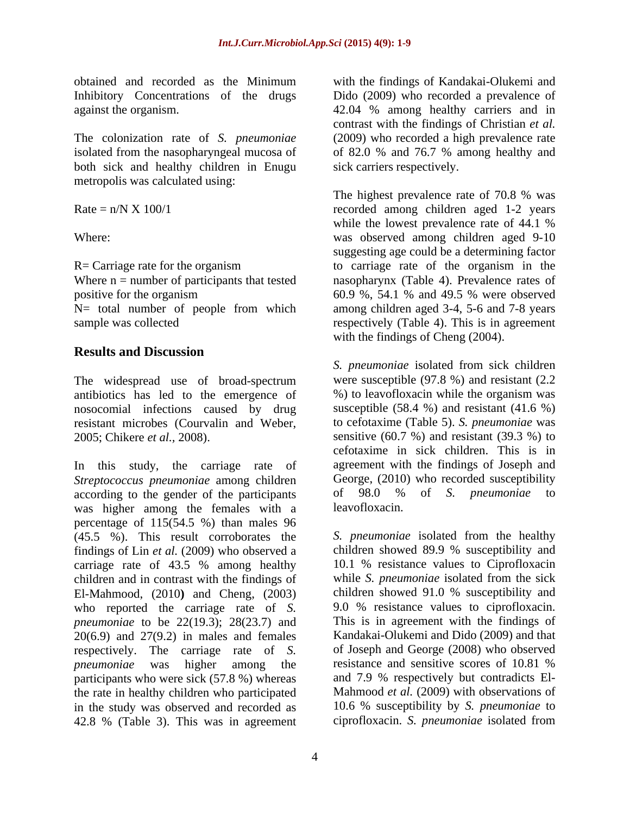both sick and healthy children in Enugu metropolis was calculated using:

Where  $n =$  number of participants that tested

# **Results and Discussion**

The widespread use of broad-spectrum antibiotics has led to the emergence of nosocomial infections caused by drug resistant microbes (Courvalin and Weber, to cefotaxime (Table 5). *S. pneumoniae* was

In this study, the carriage rate of *Streptococcus pneumoniae* among children<br>according to the gender of the participants of 98.0 % of S. *pneumoniae* according to the gender of the participants of 98.0 % of S. *pneumoniae* to was higher among the females with a leavofloxacin. percentage of 115(54.5 %) than males 96 (45.5 %). This result corroborates the findings of Lin *et al.* (2009) who observed a carriage rate of 43.5 % among healthy children and in contrast with the findings of El-Mahmood, (2010**)** and Cheng, (2003) who reported the carriage rate of *S. pneumoniae* to be 22(19.3); 28(23.7) and  $20(6.9)$  and  $27(9.2)$  in males and females respectively. The carriage rate of *S. pneumoniae* was higher among the resistance and sensitive scores of 10.81 % participants who were sick (57.8 %) whereas the rate in healthy children who participated in the study was observed and recorded as 42.8 % (Table 3). This was in agreement

obtained and recorded as the Minimum with the findings of Kandakai-Olukemi and Inhibitory Concentrations of the drugs Dido (2009) who recorded a prevalence of against the organism. 42.04 % among healthy carriers and in The colonization rate of *S. pneumoniae* (2009) who recorded a high prevalence rate isolated from the nasopharyngeal mucosa of of 82.0 % and 76.7 % among healthy and contrast with the findings of Christian *et al.* sick carriers respectively.

 $Rate = n/N \times 100/1$  recorded among children aged 1-2 years Where: was observed among children aged 9-10  $R =$  Carriage rate for the organism to carriage rate of the organism in the positive for the organism 60.9 %, 54.1 % and 49.5 % were observed N= total number of people from which among children aged 3-4, 5-6 and 7-8 years sample was collected respectively (Table 4). This is in agreement The highest prevalence rate of 70.8 % was while the lowest prevalence rate of 44.1 % suggesting age could be a determining factor nasopharynx (Table 4). Prevalence rates of with the findings of Cheng (2004).

2005; Chikere *et al.,* 2008). sensitive (60.7 %) and resistant (39.3 %) to *S. pneumoniae* isolated from sick children were susceptible (97.8 %) and resistant (2.2 %) to leavofloxacin while the organism was susceptible  $(58.4 \%)$  and resistant  $(41.6 \%)$ cefotaxime in sick children. This is in agreement with the findings of Joseph and George, (2010) who recorded susceptibility of 98.0 % of *S. pneumoniae* to leavofloxacin.

> *S. pneumoniae* isolated from the healthy children showed 89.9 % susceptibility and 10.1 % resistance values to Ciprofloxacin while *S. pneumoniae* isolated from the sick children showed 91.0 % susceptibility and 9.0 % resistance values to ciprofloxacin. This is in agreement with the findings of Kandakai-Olukemi and Dido (2009) and that of Joseph and George (2008) who observed resistance and sensitive scores of 10.81 % and 7.9 % respectively but contradicts El- Mahmood *et al.* (2009) with observations of 10.6 % susceptibility by *S. pneumoniae* to ciprofloxacin. *S. pneumoniae* isolated from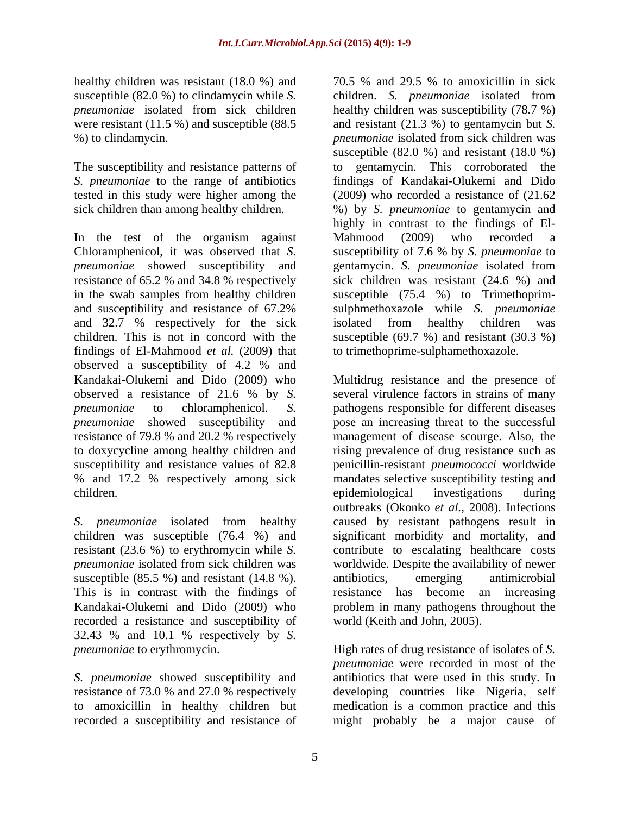were resistant (11.5 %) and susceptible (88.5

In the test of the organism against Mahmood (2009) who recorded a Chloramphenicol, it was observed that *S*. susceptibility of 7.6 % by *S. pneumoniae* to *pneumoniae* showed susceptibility and gentamycin. *S. pneumoniae* isolated from resistance of 65.2 % and 34.8 % respectively in the swab samples from healthy children susceptible (75.4 %) to Trimethoprim and susceptibility and resistance of 67.2% sulphmethoxazole while S. *pneumoniae* and 32.7 % respectively for the sick isolated from healthy children was children. This is not in concord with the susceptible (69.7 %) and resistant (30.3 %) findings of El-Mahmood *et al.* (2009) that observed a susceptibility of 4.2 % and observed a resistance of 21.6 % by *S.*  % and 17.2 % respectively among sick children. epidemiological investigations during

susceptible (85.5 %) and resistant (14.8 %). antibiotics, emerging antimicrobial This is in contrast with the findings of recorded a resistance and susceptibility of 32.43 % and 10.1 % respectively by *S.* 

*S. pneumoniae* showed susceptibility and

healthy children was resistant (18.0 %) and 70.5 % and 29.5 % to amoxicillin in sick susceptible (82.0 %) to clindamycin while *S.*  children. *S. pneumoniae* isolated from *pneumoniae* isolated from sick children healthy children was susceptibility (78.7 %) %) to clindamycin. *pneumoniae* isolated from sick children was The susceptibility and resistance patterns of to gentamycin. This corroborated the *S. pneumoniae* to the range of antibiotics findings of Kandakai-Olukemi and Dido tested in this study were higher among the (2009) who recorded a resistance of (21.62 sick children than among healthy children. %) by *S. pneumoniae* to gentamycin and and resistant (21.3 %) to gentamycin but *S.*  susceptible (82.0 %) and resistant (18.0 %) highly in contrast to the findings of El- Mahmood (2009) who recorded a susceptibility of 7.6 % by *S. pneumoniae* to sick children was resistant (24.6 %) and sulphmethoxazole while *S. pneumoniae* isolated from healthy children was to trimethoprime-sulphamethoxazole.

Kandakai-Olukemi and Dido (2009) who Multidrug resistance and the presence of *pneumoniae* to chloramphenicol. *S.*  pathogens responsible for different diseases *pneumoniae* showed susceptibility and pose an increasing threat to the successful resistance of 79.8 % and 20.2 % respectively management of disease scourge. Also, the to doxycycline among healthy children and rising prevalence of drug resistance such as susceptibility and resistance values of 82.8 penicillin-resistant *pneumococci* worldwide *S. pneumoniae* isolated from healthy caused by resistant pathogens result in children was susceptible (76.4 %) and significant morbidity and mortality, and resistant (23.6 %) to erythromycin while *S.*  contribute to escalating healthcare costs *pneumoniae* isolated from sick children was worldwide. Despite the availability of newer Kandakai-Olukemi and Dido (2009) who problem in many pathogens throughout the several virulence factors in strains of many mandates selective susceptibility testing and epidemiological investigations during outbreaks (Okonko *et al.,* 2008). Infections antibiotics, emerging antimicrobial resistance has become an increasing world (Keith and John, 2005).

*pneumoniae* to erythromycin. Thigh rates of drug resistance of isolates of *S*. resistance of 73.0 % and 27.0 % respectively developing countries like Nigeria, self to amoxicillin in healthy children but medication is a common practice and this recorded a susceptibility and resistance of might probably be a major cause of *pneumoniae* were recorded in most of the antibiotics that were used in this study. In developing countries like Nigeria, self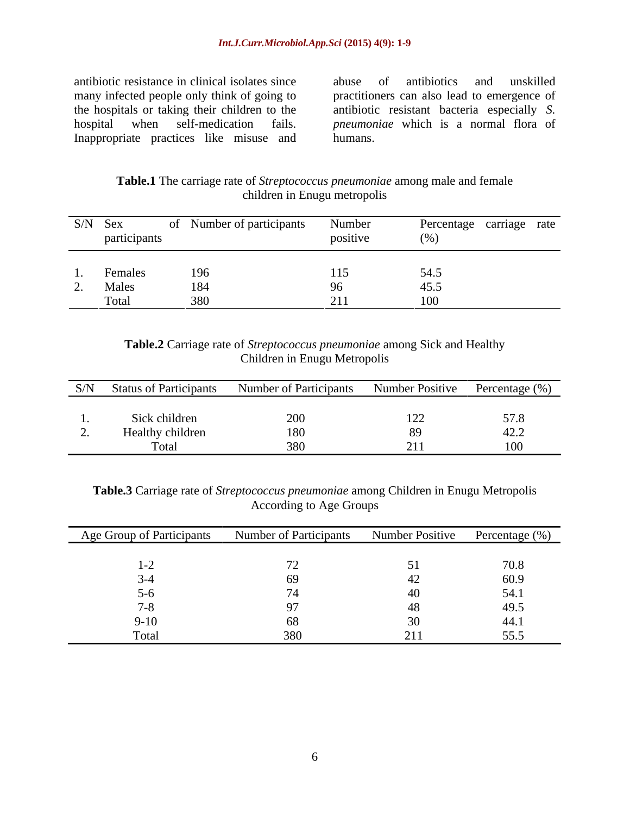antibiotic resistance in clinical isolates since Inappropriate practices like misuse and humans.

many infected people only think of going to practitioners can also lead to emergence of the hospitals or taking their children to the antibiotic resistant bacteria especially *S.*  hospital when self-medication fails. *pneumoniae* which is a normal flora of abuse of antibiotics and unskilled humans.

| Table.1 T<br>among male and female<br>r ne-<br>e carriage rate of Streptococcus pneumoniae a |  |
|----------------------------------------------------------------------------------------------|--|
| Enugu metropolis<br>hıldre:                                                                  |  |

|                            | S/N Sex<br>participants | Number of participants | Number<br>positive | Percentage carriage rate<br>(0) |
|----------------------------|-------------------------|------------------------|--------------------|---------------------------------|
|                            | Females                 | 196                    |                    | 54.5                            |
| $\overline{\phantom{a}}$ . | Males<br>Total          | 184<br>380             | 211                | 45.5                            |

# **Table.2** Carriage rate of *Streptococcus pneumoniae* among Sick and Healthy Children in Enugu Metropolis

| S/N | <b>Status of Participants</b> | <b>Number of Participants</b> | Number Positive | Percentage (%) |
|-----|-------------------------------|-------------------------------|-----------------|----------------|
|     |                               |                               |                 |                |
|     | Sick children                 | 200                           | 1/2             |                |
|     | Healthy children              | 1 X L<br>10 <sub>0</sub>      | $\Omega$        | $\sim$         |
|     | Total                         | 380                           | $\sqrt{111}$    |                |

**Table.3** Carriage rate of *Streptococcus pneumoniae* among Children in Enugu Metropolis According to Age Groups

| Age Group of Participants | <b>Number of Participants</b> | Number Positive | Percentage (%)       |
|---------------------------|-------------------------------|-----------------|----------------------|
|                           |                               |                 |                      |
| $\mathbf{I} - \mathbf{I}$ |                               |                 | 70.8                 |
|                           |                               |                 | 60.9                 |
|                           |                               |                 | 14. J                |
|                           |                               |                 | 49.5                 |
| Y-IU                      |                               |                 | 44.1                 |
| Total                     |                               | 211             | 555<br><u>-</u><br>- |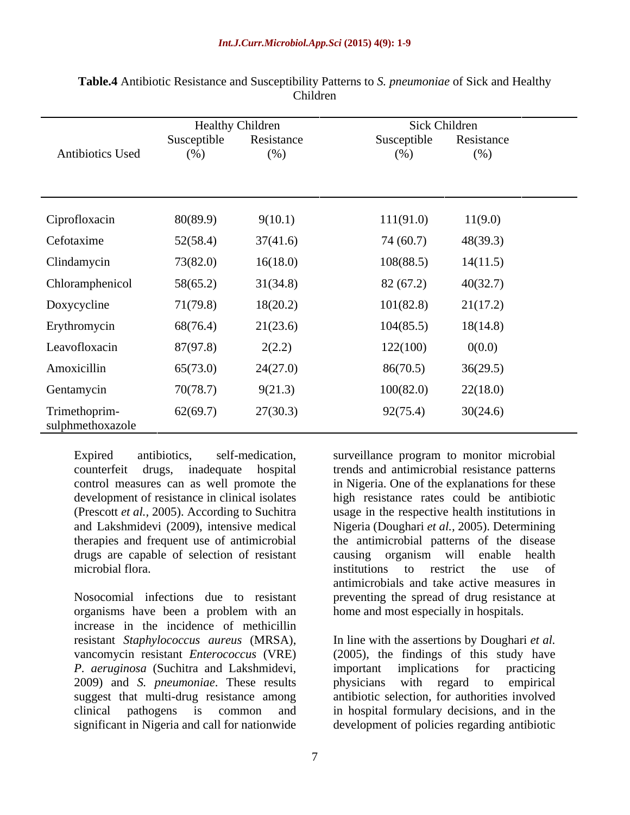|                                   | <b>Healthy Children</b> |                   | Sick Children      |                   |
|-----------------------------------|-------------------------|-------------------|--------------------|-------------------|
| Antibiotics Used                  | Susceptible<br>(% )     | Resistance<br>(%) | Susceptible<br>(%) | Resistance<br>(%) |
|                                   |                         |                   |                    |                   |
| Ciprofloxacin                     | 80(89.9)                | 9(10.1)           | 111(91.0)          | 11(9.0)           |
| Cefotaxime                        | 52(58.4)                | 37(41.6)          | 74 (60.7)          | 48(39.3)          |
| Clindamycin                       | 73(82.0)                | 16(18.0)          | 108(88.5)          | 14(11.5)          |
| Chloramphenicol                   | 58(65.2)                | 31(34.8)          | 82(67.2)           | 40(32.7)          |
| Doxycycline                       | 71(79.8)                | 18(20.2)          | 101(82.8)          | 21(17.2)          |
| Erythromycin                      | 68(76.4)                | 21(23.6)          | 104(85.5)          | 18(14.8)          |
| Leavofloxacin                     | 87(97.8)                | 2(2.2)            | 122(100)           | 0(0.0)            |
| Amoxicillin                       | 65(73.0)                | 24(27.0)          | 86(70.5)           | 36(29.5)          |
| Gentamycin                        | 70(78.7)                | 9(21.3)           | 100(82.0)          | 22(18.0)          |
| Trimethoprim-<br>sulphmethoxazole | 62(69.7)                | 27(30.3)          | 92(75.4)           | 30(24.6)          |

**Table.4** Antibiotic Resistance and Susceptibility Patterns to *S. pneumoniae* of Sick and Healthy Children

control measures can as well promote the drugs are capable of selection of resistant causing organism will enable health

organisms have been a problem with an increase in the incidence of methicillin *P. aeruginosa* (Suchitra and Lakshmidevi, 2009) and *S. pneumoniae*. These results

Expired antibiotics, self-medication, surveillance program to monitor microbial counterfeit drugs, inadequate hospital trends and antimicrobial resistance patterns development of resistance in clinical isolates high resistance rates could be antibiotic (Prescott *et al.,* 2005). According to Suchitra usage in the respective health institutions in and Lakshmidevi (2009), intensive medical Nigeria (Doughari *et al.,* 2005). Determining therapies and frequent use of antimicrobial the antimicrobial patterns of the disease microbial flora. The same institutions to restrict the use of Nosocomial infections due to resistant preventing the spread of drug resistance at in Nigeria. One of the explanations for these causing organism will enable health institutions to restrict the use of antimicrobials and take active measures in home and most especially in hospitals.

resistant *Staphylococcus aureus* (MRSA), In line with the assertions by Doughari *et al.* vancomycin resistant *Enterococcus* (VRE) (2005), the findings of this study have suggest that multi-drug resistance among antibiotic selection, for authorities involved clinical pathogens is common and in hospital formulary decisions, and in the significant in Nigeria and call for nationwide development of policies regarding antibiotic important implications for practicing with regard to empirical

7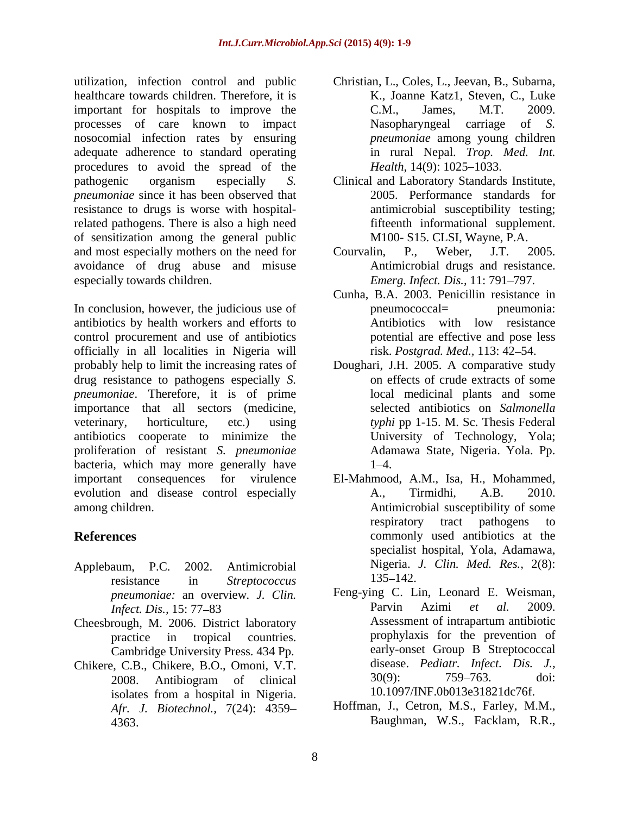utilization, infection control and public Christian, L., Coles, L., Jeevan, B., Subarna, healthcare towards children. Therefore, it is important for hospitals to improve the C.M., James, M.T. 2009. processes of care known to impact Nasopharyngeal carriage of S. nosocomial infection rates by ensuring adequate adherence to standard operating procedures to avoid the spread of the *Health*, 14(9): 1025–1033. pathogenic organism especially *S.*  Clinical and Laboratory Standards Institute, *pneumoniae* since it has been observed that resistance to drugs is worse with hospitalrelated pathogens. There is also a high need of sensitization among the general public and most especially mothers on the need for Courvalin, P., Weber, J.T. 2005. avoidance of drug abuse and misuse especially towards children. **Emerg.** *Emerg. Infect. Dis.,* 11: 791–797.

In conclusion, however, the judicious use of produced proposed produced produced produced produced produced produced produced produced produced produced produced produced produced produced produced produced produced produc antibiotics by health workers and efforts to control procurement and use of antibiotics officially in all localities in Nigeria will probably help to limit the increasing rates of Doughari, J.H. 2005. A comparative study drug resistance to pathogens especially *S. pneumoniae*. Therefore, it is of prime importance that all sectors (medicine, veterinary, horticulture, etc.) using *typhi* pp 1-15. M. Sc. Thesis Federal antibiotics cooperate to minimize the proliferation of resistant *S. pneumoniae* bacteria, which may more generally have  $1-4$ . important consequences for virulence El-Mahmood, A.M., Isa, H., Mohammed, evolution and disease control especially  $A_{1}$ , Tirmidhi,  $A_{1}B_{1}$ , 2010.

- 
- Cambridge University Press. 434 Pp.
- Chikere, C.B., Chikere, B.O., Omoni, V.T. disease. *Pediatr. Infect. Dis. J.,*<br>2008. Antibiogram of clinical 30(9): 759–763. doi: isolates from a hospital in Nigeria. *Afr. J. Biotechnol.,* 7(24): 4359 4363. Baughman, W.S., Facklam, R.R.,
- K., Joanne Katz1, Steven, C., Luke C.M., James, M.T. 2009. Nasopharyngeal carriage of *S. pneumoniae* among young children in rural Nepal. *Trop. Med. Int. Health,* 14(9): 1025–1033.
- 2005. Performance standards for antimicrobial susceptibility testing; fifteenth informational supplement. M100- S15. CLSI, Wayne, P.A.
- Courvalin, P., Weber, J.T. 2005. Antimicrobial drugs and resistance.
- Cunha, B.A. 2003. Penicillin resistance in pneumococcal= pneumonia: Antibiotics with low resistance potential are effective and pose less risk. *Postgrad. Med.*, 113: 42–54.
- on effects of crude extracts of some local medicinal plants and some selected antibiotics on *Salmonella*  University of Technology, Yola; Adamawa State, Nigeria. Yola. Pp.  $1 - 4$ .
- among children. Antimicrobial susceptibility of some **References** commonly used antibiotics at the Applebaum, P.C. 2002. Antimicrobial Nigeria. *J. Clin. Med. Res.,* 2(8): resistance in *Streptococcus*  A., Tirmidhi, A.B. 2010. respiratory tract pathogens to specialist hospital, Yola, Adamawa, 135–142.
- *pneumoniae:* an overview. *J. Clin.* Feng-ying C. Lin, Leonard E. Weisman, <br>*Infect Dis* 15:77.83 **Particular** Partin Azimi *et al.* 2009 *Infect. Dis.,* 15: 77–83 **Parvin** Azimi *et al.* 2009. Cheesbrough, M. 2006. District laboratory **Assessment of intrapartum antibiotic** practice in tropical countries. prophylaxis for the prevention of 2008. Antibiogram of clinical Feng-ying C. Lin, Leonard E. Weisman, Parvin Azimi *et al.* 2009. Assessment of intrapartum antibiotic early-onset Group B Streptococcal disease. *Pediatr. Infect. Dis. J.,* 30(9): 759 763. doi: 10.1097/INF.0b013e31821dc76f.
	- Hoffman, J., Cetron, M.S., Farley, M.M.,